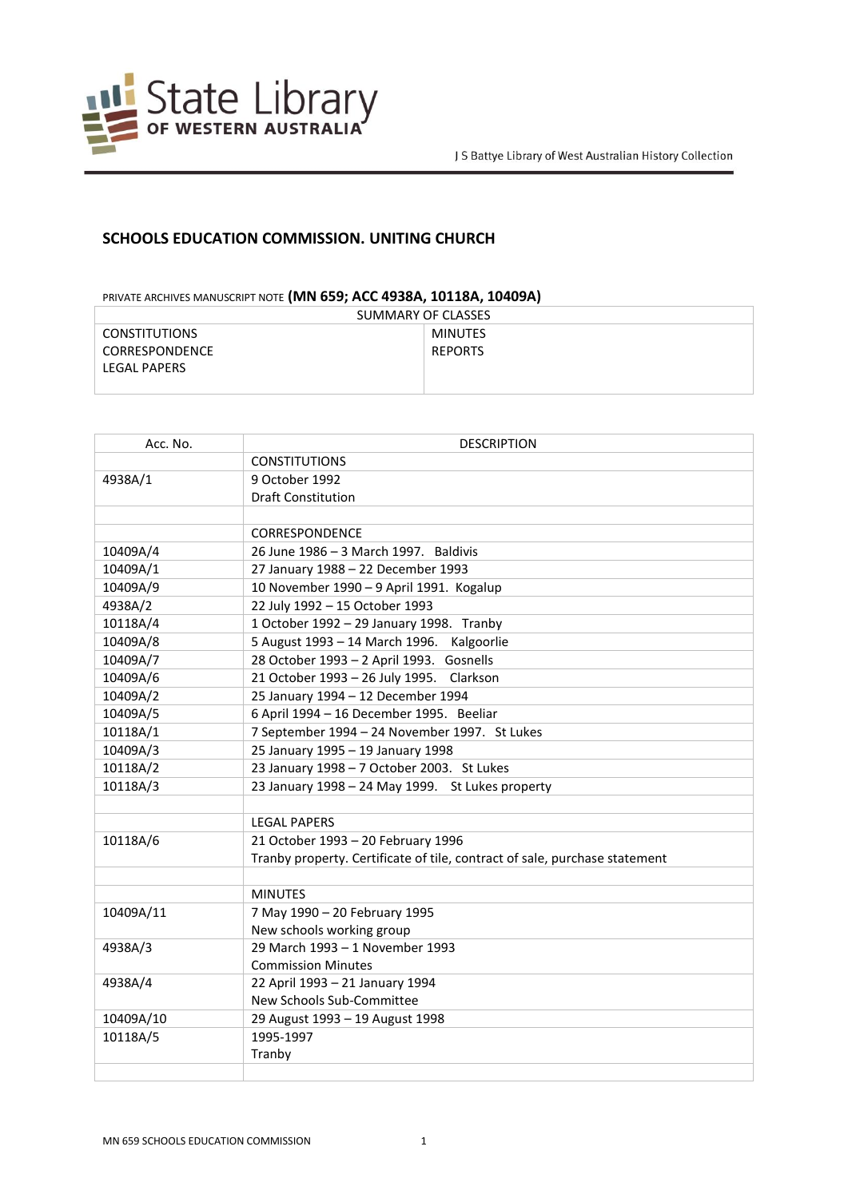

## **SCHOOLS EDUCATION COMMISSION. UNITING CHURCH**

## PRIVATE ARCHIVES MANUSCRIPT NOTE **(MN 659; ACC 4938A, 10118A, 10409A)**

| SUMMARY OF CLASSES    |                |
|-----------------------|----------------|
| <b>CONSTITUTIONS</b>  | MINUTES        |
| <b>CORRESPONDENCE</b> | <b>REPORTS</b> |
| <b>LEGAL PAPERS</b>   |                |
|                       |                |

| Acc. No.  | <b>DESCRIPTION</b>                                                         |
|-----------|----------------------------------------------------------------------------|
|           | <b>CONSTITUTIONS</b>                                                       |
| 4938A/1   | 9 October 1992                                                             |
|           | <b>Draft Constitution</b>                                                  |
|           |                                                                            |
|           | <b>CORRESPONDENCE</b>                                                      |
| 10409A/4  | 26 June 1986 - 3 March 1997. Baldivis                                      |
| 10409A/1  | 27 January 1988 - 22 December 1993                                         |
| 10409A/9  | 10 November 1990 - 9 April 1991. Kogalup                                   |
| 4938A/2   | 22 July 1992 - 15 October 1993                                             |
| 10118A/4  | 1 October 1992 - 29 January 1998. Tranby                                   |
| 10409A/8  | 5 August 1993 - 14 March 1996.<br>Kalgoorlie                               |
| 10409A/7  | 28 October 1993 - 2 April 1993. Gosnells                                   |
| 10409A/6  | 21 October 1993 - 26 July 1995. Clarkson                                   |
| 10409A/2  | 25 January 1994 - 12 December 1994                                         |
| 10409A/5  | 6 April 1994 - 16 December 1995. Beeliar                                   |
| 10118A/1  | 7 September 1994 - 24 November 1997. St Lukes                              |
| 10409A/3  | 25 January 1995 - 19 January 1998                                          |
| 10118A/2  | 23 January 1998 - 7 October 2003. St Lukes                                 |
| 10118A/3  | 23 January 1998 - 24 May 1999. St Lukes property                           |
|           |                                                                            |
|           | <b>LEGAL PAPERS</b>                                                        |
| 10118A/6  | 21 October 1993 - 20 February 1996                                         |
|           | Tranby property. Certificate of tile, contract of sale, purchase statement |
|           |                                                                            |
|           | <b>MINUTES</b>                                                             |
| 10409A/11 | 7 May 1990 - 20 February 1995                                              |
|           | New schools working group                                                  |
| 4938A/3   | 29 March 1993 - 1 November 1993                                            |
|           | <b>Commission Minutes</b>                                                  |
| 4938A/4   | 22 April 1993 - 21 January 1994                                            |
|           | New Schools Sub-Committee                                                  |
| 10409A/10 | 29 August 1993 - 19 August 1998                                            |
| 10118A/5  | 1995-1997                                                                  |
|           | Tranby                                                                     |
|           |                                                                            |